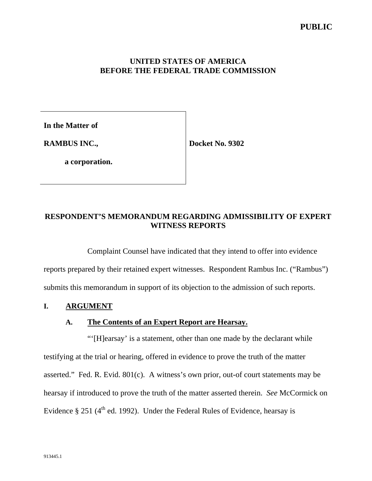### **UNITED STATES OF AMERICA BEFORE THE FEDERAL TRADE COMMISSION**

**In the Matter of**

**RAMBUS INC.,**

**Docket No. 9302**

**a corporation.**

# **RESPONDENT'S MEMORANDUM REGARDING ADMISSIBILITY OF EXPERT WITNESS REPORTS**

Complaint Counsel have indicated that they intend to offer into evidence reports prepared by their retained expert witnesses. Respondent Rambus Inc. ("Rambus") submits this memorandum in support of its objection to the admission of such reports.

## **I. ARGUMENT**

### **A. The Contents of an Expert Report are Hearsay.**

"'[H]earsay' is a statement, other than one made by the declarant while testifying at the trial or hearing, offered in evidence to prove the truth of the matter asserted." Fed. R. Evid. 801(c). A witness's own prior, out-of court statements may be hearsay if introduced to prove the truth of the matter asserted therein. *See* McCormick on Evidence § 251 ( $4^{\text{th}}$  ed. 1992). Under the Federal Rules of Evidence, hearsay is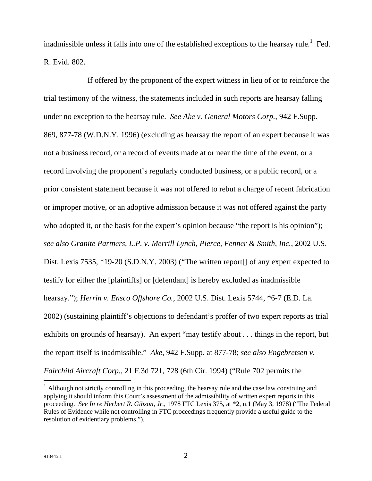inadmissible unless it falls into one of the established exceptions to the hearsay rule.<sup>1</sup> Fed. R. Evid. 802.

If offered by the proponent of the expert witness in lieu of or to reinforce the trial testimony of the witness, the statements included in such reports are hearsay falling under no exception to the hearsay rule. *See Ake v. General Motors Corp.*, 942 F.Supp. 869, 877-78 (W.D.N.Y. 1996) (excluding as hearsay the report of an expert because it was not a business record, or a record of events made at or near the time of the event, or a record involving the proponent's regularly conducted business, or a public record, or a prior consistent statement because it was not offered to rebut a charge of recent fabrication or improper motive, or an adoptive admission because it was not offered against the party who adopted it, or the basis for the expert's opinion because "the report is his opinion"); *see also Granite Partners, L.P. v. Merrill Lynch, Pierce, Fenner & Smith, Inc.*, 2002 U.S. Dist. Lexis 7535, \*19-20 (S.D.N.Y. 2003) ("The written report of any expert expected to testify for either the [plaintiffs] or [defendant] is hereby excluded as inadmissible hearsay."); *Herrin v. Ensco Offshore Co.*, 2002 U.S. Dist. Lexis 5744, \*6-7 (E.D. La. 2002) (sustaining plaintiff's objections to defendant's proffer of two expert reports as trial exhibits on grounds of hearsay). An expert "may testify about . . . things in the report, but the report itself is inadmissible." *Ake*, 942 F.Supp. at 877-78; *see also Engebretsen v. Fairchild Aircraft Corp.*, 21 F.3d 721, 728 (6th Cir. 1994) ("Rule 702 permits the

 $\overline{a}$ 

 $1$  Although not strictly controlling in this proceeding, the hearsay rule and the case law construing and applying it should inform this Court's assessment of the admissibility of written expert reports in this proceeding. *See In re Herbert R. Gibson, Jr.*, 1978 FTC Lexis 375, at \*2, n.1 (May 3, 1978) ("The Federal Rules of Evidence while not controlling in FTC proceedings frequently provide a useful guide to the resolution of evidentiary problems.").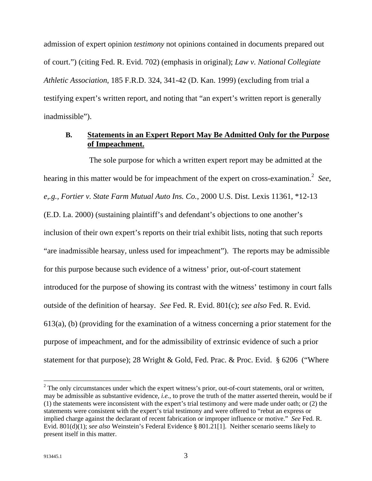admission of expert opinion *testimony* not opinions contained in documents prepared out of court.") (citing Fed. R. Evid. 702) (emphasis in original); *Law v. National Collegiate Athletic Association*, 185 F.R.D. 324, 341-42 (D. Kan. 1999) (excluding from trial a testifying expert's written report, and noting that "an expert's written report is generally inadmissible").

### **B. Statements in an Expert Report May Be Admitted Only for the Purpose of Impeachment.**

The sole purpose for which a written expert report may be admitted at the hearing in this matter would be for impeachment of the expert on cross-examination.<sup>2</sup> See, *e,.g., Fortier v. State Farm Mutual Auto Ins. Co.*, 2000 U.S. Dist. Lexis 11361, \*12-13 (E.D. La. 2000) (sustaining plaintiff's and defendant's objections to one another's inclusion of their own expert's reports on their trial exhibit lists, noting that such reports "are inadmissible hearsay, unless used for impeachment"). The reports may be admissible for this purpose because such evidence of a witness' prior, out-of-court statement introduced for the purpose of showing its contrast with the witness' testimony in court falls outside of the definition of hearsay. *See* Fed. R. Evid. 801(c); *see also* Fed. R. Evid. 613(a), (b) (providing for the examination of a witness concerning a prior statement for the purpose of impeachment, and for the admissibility of extrinsic evidence of such a prior statement for that purpose); 28 Wright & Gold, Fed. Prac. & Proc. Evid. § 6206 ("Where

 $\overline{a}$ 

 $2$  The only circumstances under which the expert witness's prior, out-of-court statements, oral or written, may be admissible as substantive evidence, *i.e.*, to prove the truth of the matter asserted therein, would be if (1) the statements were inconsistent with the expert's trial testimony and were made under oath; or (2) the statements were consistent with the expert's trial testimony and were offered to "rebut an express or implied charge against the declarant of recent fabrication or improper influence or motive." *See* Fed. R. Evid. 801(d)(1); *see also* Weinstein's Federal Evidence § 801.21[1]. Neither scenario seems likely to present itself in this matter.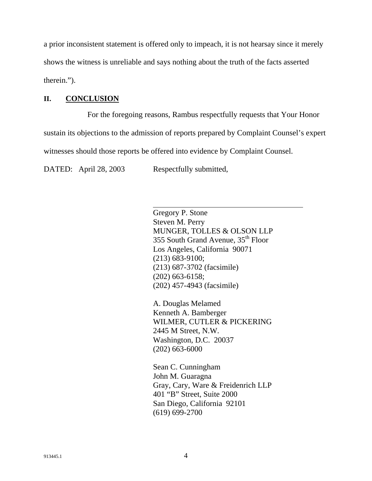a prior inconsistent statement is offered only to impeach, it is not hearsay since it merely shows the witness is unreliable and says nothing about the truth of the facts asserted therein.").

## **II. CONCLUSION**

For the foregoing reasons, Rambus respectfully requests that Your Honor sustain its objections to the admission of reports prepared by Complaint Counsel's expert witnesses should those reports be offered into evidence by Complaint Counsel.

DATED: April 28, 2003 Respectfully submitted,

 $\overline{\phantom{a}}$ 

Gregory P. Stone Steven M. Perry MUNGER, TOLLES & OLSON LLP 355 South Grand Avenue, 35<sup>th</sup> Floor Los Angeles, California 90071 (213) 683-9100; (213) 687-3702 (facsimile) (202) 663-6158; (202) 457-4943 (facsimile)

A. Douglas Melamed Kenneth A. Bamberger WILMER, CUTLER & PICKERING 2445 M Street, N.W. Washington, D.C. 20037 (202) 663-6000

Sean C. Cunningham John M. Guaragna Gray, Cary, Ware & Freidenrich LLP 401 "B" Street, Suite 2000 San Diego, California 92101 (619) 699-2700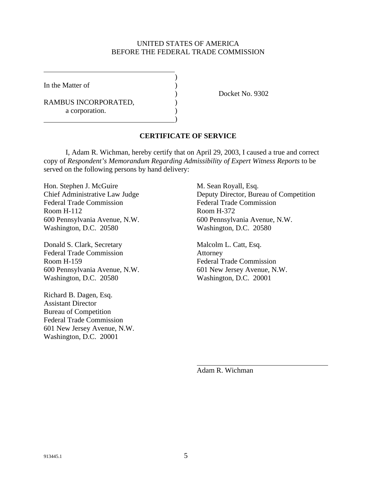#### UNITED STATES OF AMERICA BEFORE THE FEDERAL TRADE COMMISSION

)

)

In the Matter of (1)

RAMBUS INCORPORATED,  $($ a corporation.

) Docket No. 9302

### **CERTIFICATE OF SERVICE**

I, Adam R. Wichman, hereby certify that on April 29, 2003, I caused a true and correct copy of *Respondent's Memorandum Regarding Admissibility of Expert Witness Reports* to be served on the following persons by hand delivery:

Hon. Stephen J. McGuire M. Sean Royall, Esq. Federal Trade Commission Federal Trade Commission Room H-112 Room H-372 600 Pennsylvania Avenue, N.W. 600 Pennsylvania Avenue, N.W. Washington, D.C. 20580 Washington, D.C. 20580

Donald S. Clark, Secretary Malcolm L. Catt, Esq. Federal Trade Commission Attorney Room H-159 Federal Trade Commission 600 Pennsylvania Avenue, N.W. 601 New Jersey Avenue, N.W. Washington, D.C. 20580 Washington, D.C. 20001

Richard B. Dagen, Esq. Assistant Director Bureau of Competition Federal Trade Commission 601 New Jersey Avenue, N.W. Washington, D.C. 20001

Chief Administrative Law Judge Deputy Director, Bureau of Competition

Adam R. Wichman